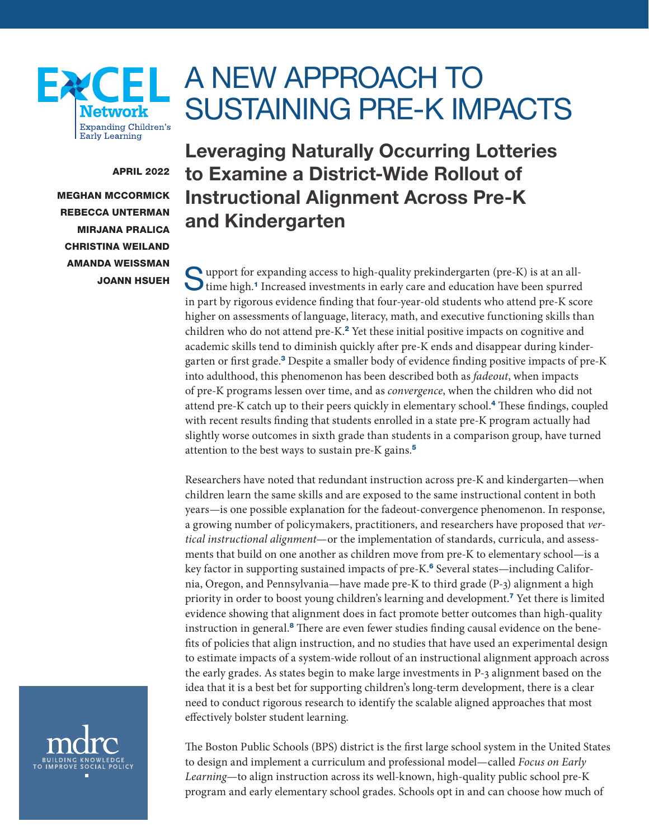# A NEW APPROACH TO SUSTAINING PRE-K IMPACTS

## APRIL 2022

MEGHAN MCCORMICK REBECCA UNTERMAN MIRJANA PRALICA CHRISTINA WEILAND AMANDA WEISSMAN JOANN HSUEH

**Network Expanding Children's Early Learning** 

<span id="page-0-0"></span> $\mathbf{F}$ 

Leveraging Naturally Occurring Lotteries to Examine a District-Wide Rollout of Instructional Alignment Across Pre-K and Kindergarten

Support for expanding access to high-quality prekindergarten (pre-K) is at an all-<br>time high.<sup>[1](#page-17-0)</sup> Increased investments in early care and education have been spurred in part by rigorous evidence finding that four-year-old students who attend pre-K score higher on assessments of language, literacy, math, and executive functioning skills than children who do not attend pre-K.<sup>[2](#page-17-0)</sup> Yet these initial positive impacts on cognitive and academic skills tend to diminish quickly after pre-K ends and disappear during kinder-garten or first grade.<sup>[3](#page-17-0)</sup> Despite a smaller body of evidence finding positive impacts of pre-K into adulthood, this phenomenon has been described both as *fadeout*, when impacts of pre-K programs lessen over time, and as *convergence*, when the children who did not attend pre-K catch up to their peers quickly in elementary school.[4](#page-17-0) These findings, coupled with recent results finding that students enrolled in a state pre-K program actually had slightly worse outcomes in sixth grade than students in a comparison group, have turned attention to the best ways to sustain pre-K gains.[5](#page-17-0)

Researchers have noted that redundant instruction across pre-K and kindergarten—when children learn the same skills and are exposed to the same instructional content in both years—is one possible explanation for the fadeout-convergence phenomenon. In response, a growing number of policymakers, practitioners, and researchers have proposed that *vertical instructional alignment*—or the implementation of standards, curricula, and assessments that build on one another as children move from pre-K to elementary school—is a key factor in supporting sustained impacts of pre-K.<sup>[6](#page-17-0)</sup> Several states—including California, Oregon, and Pennsylvania—have made pre-K to third grade (P-3) alignment a high priority in order to boost young children's learning and development.[7](#page-17-0) Yet there is limited evidence showing that alignment does in fact promote better outcomes than high-quality instruction in general.<sup>[8](#page-17-0)</sup> There are even fewer studies finding causal evidence on the benefits of policies that align instruction, and no studies that have used an experimental design to estimate impacts of a system-wide rollout of an instructional alignment approach across the early grades. As states begin to make large investments in P-3 alignment based on the idea that it is a best bet for supporting children's long-term development, there is a clear need to conduct rigorous research to identify the scalable aligned approaches that most effectively bolster student learning.



The Boston Public Schools (BPS) district is the first large school system in the United States to design and implement a curriculum and professional model—called *Focus on Early Learning*—to align instruction across its well-known, high-quality public school pre-K program and early elementary school grades. Schools opt in and can choose how much of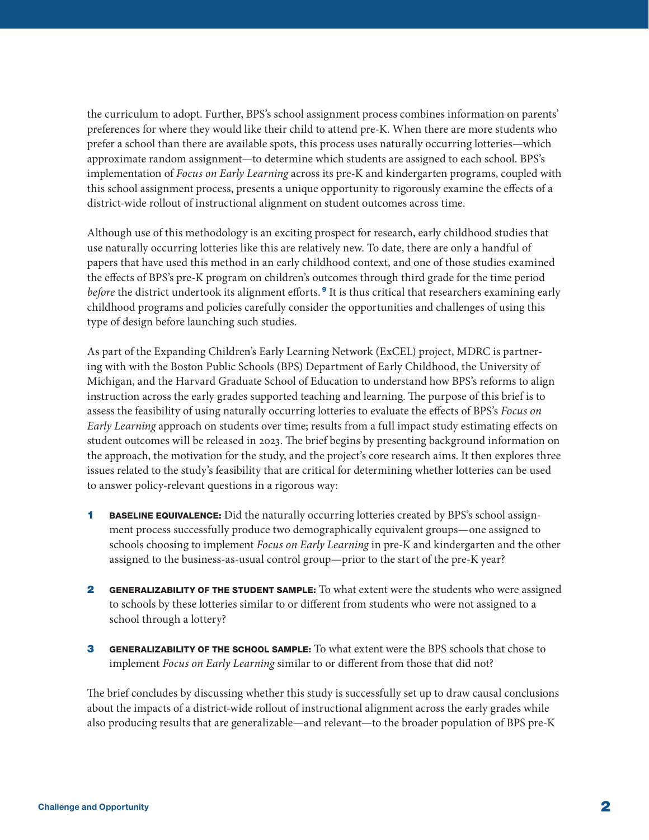<span id="page-1-0"></span>the curriculum to adopt. Further, BPS's school assignment process combines information on parents' preferences for where they would like their child to attend pre-K. When there are more students who prefer a school than there are available spots, this process uses naturally occurring lotteries—which approximate random assignment—to determine which students are assigned to each school. BPS's implementation of *Focus on Early Learning* across its pre-K and kindergarten programs, coupled with this school assignment process, presents a unique opportunity to rigorously examine the effects of a district-wide rollout of instructional alignment on student outcomes across time.

Although use of this methodology is an exciting prospect for research, early childhood studies that use naturally occurring lotteries like this are relatively new. To date, there are only a handful of papers that have used this method in an early childhood context, and one of those studies examined the effects of BPS's pre-K program on children's outcomes through third grade for the time period *before* the district undertook its alignment efforts.<sup>[9](#page-17-0)</sup> It is thus critical that researchers examining early childhood programs and policies carefully consider the opportunities and challenges of using this type of design before launching such studies.

As part of the Expanding Children's Early Learning Network (ExCEL) project, MDRC is partnering with with the Boston Public Schools (BPS) Department of Early Childhood, the University of Michigan, and the Harvard Graduate School of Education to understand how BPS's reforms to align instruction across the early grades supported teaching and learning. The purpose of this brief is to assess the feasibility of using naturally occurring lotteries to evaluate the effects of BPS's *Focus on Early Learning* approach on students over time; results from a full impact study estimating effects on student outcomes will be released in 2023. The brief begins by presenting background information on the approach, the motivation for the study, and the project's core research aims. It then explores three issues related to the study's feasibility that are critical for determining whether lotteries can be used to answer policy-relevant questions in a rigorous way:

- **1** BASELINE EQUIVALENCE: Did the naturally occurring lotteries created by BPS's school assignment process successfully produce two demographically equivalent groups—one assigned to schools choosing to implement *Focus on Early Learning* in pre-K and kindergarten and the other assigned to the business-as-usual control group—prior to the start of the pre-K year?
- 2 GENERALIZABILITY OF THE STUDENT SAMPLE: To what extent were the students who were assigned to schools by these lotteries similar to or different from students who were not assigned to a school through a lottery?
- 3 GENERALIZABILITY OF THE SCHOOL SAMPLE: To what extent were the BPS schools that chose to implement *Focus on Early Learning* similar to or different from those that did not?

The brief concludes by discussing whether this study is successfully set up to draw causal conclusions about the impacts of a district-wide rollout of instructional alignment across the early grades while also producing results that are generalizable—and relevant—to the broader population of BPS pre-K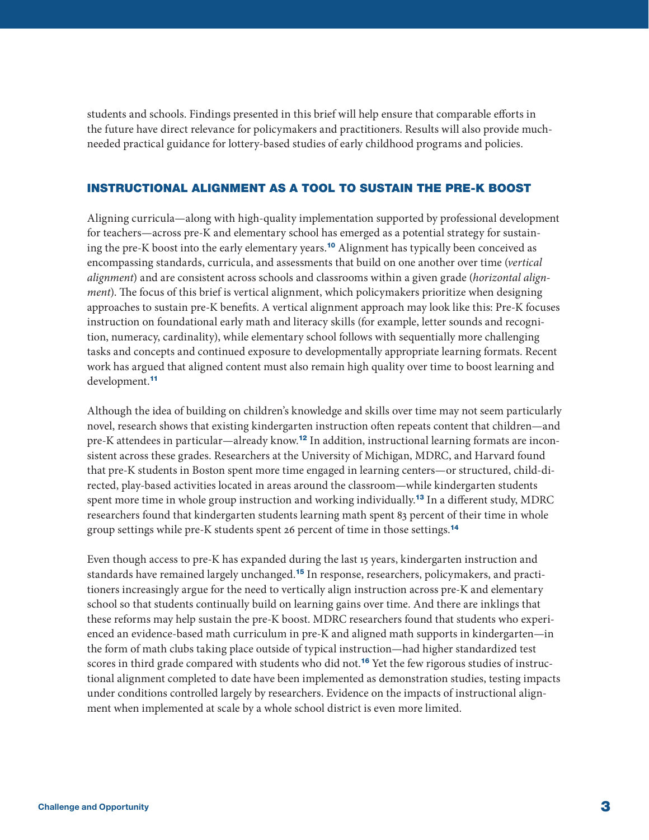<span id="page-2-0"></span>students and schools. Findings presented in this brief will help ensure that comparable efforts in the future have direct relevance for policymakers and practitioners. Results will also provide muchneeded practical guidance for lottery-based studies of early childhood programs and policies.

# INSTRUCTIONAL ALIGNMENT AS A TOOL TO SUSTAIN THE PRE-K BOOST

Aligning curricula—along with high-quality implementation supported by professional development for teachers—across pre-K and elementary school has emerged as a potential strategy for sustain-ing the pre-K boost into the early elementary years.<sup>[10](#page-17-0)</sup> Alignment has typically been conceived as encompassing standards, curricula, and assessments that build on one another over time (*vertical alignment*) and are consistent across schools and classrooms within a given grade (*horizontal alignment*). The focus of this brief is vertical alignment, which policymakers prioritize when designing approaches to sustain pre-K benefits. A vertical alignment approach may look like this: Pre-K focuses instruction on foundational early math and literacy skills (for example, letter sounds and recognition, numeracy, cardinality), while elementary school follows with sequentially more challenging tasks and concepts and continued exposure to developmentally appropriate learning formats. Recent work has argued that aligned content must also remain high quality over time to boost learning and development.[11](#page-17-0)

Although the idea of building on children's knowledge and skills over time may not seem particularly novel, research shows that existing kindergarten instruction often repeats content that children—and pre-K attendees in particular—already know.<sup>[12](#page-17-0)</sup> In addition, instructional learning formats are inconsistent across these grades. Researchers at the University of Michigan, MDRC, and Harvard found that pre-K students in Boston spent more time engaged in learning centers—or structured, child-directed, play-based activities located in areas around the classroom—while kindergarten students spent more time in whole group instruction and working individually.<sup>[13](#page-17-0)</sup> In a different study, MDRC researchers found that kindergarten students learning math spent 83 percent of their time in whole group settings while pre-K students spent 26 percent of time in those settings.<sup>[14](#page-17-0)</sup>

Even though access to pre-K has expanded during the last 15 years, kindergarten instruction and standards have remained largely unchanged.[15](#page-18-0) In response, researchers, policymakers, and practitioners increasingly argue for the need to vertically align instruction across pre-K and elementary school so that students continually build on learning gains over time. And there are inklings that these reforms may help sustain the pre-K boost. MDRC researchers found that students who experienced an evidence-based math curriculum in pre-K and aligned math supports in kindergarten—in the form of math clubs taking place outside of typical instruction—had higher standardized test scores in third grade compared with students who did not.<sup>[16](#page-18-0)</sup> Yet the few rigorous studies of instructional alignment completed to date have been implemented as demonstration studies, testing impacts under conditions controlled largely by researchers. Evidence on the impacts of instructional alignment when implemented at scale by a whole school district is even more limited.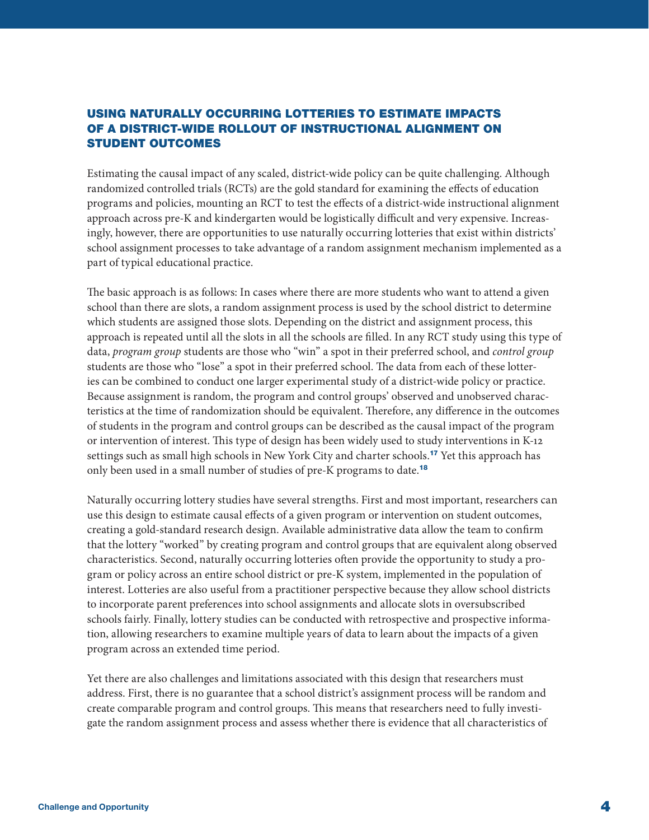# <span id="page-3-0"></span>USING NATURALLY OCCURRING LOTTERIES TO ESTIMATE IMPACTS OF A DISTRICT-WIDE ROLLOUT OF INSTRUCTIONAL ALIGNMENT ON STUDENT OUTCOMES

Estimating the causal impact of any scaled, district-wide policy can be quite challenging. Although randomized controlled trials (RCTs) are the gold standard for examining the effects of education programs and policies, mounting an RCT to test the effects of a district-wide instructional alignment approach across pre-K and kindergarten would be logistically difficult and very expensive. Increasingly, however, there are opportunities to use naturally occurring lotteries that exist within districts' school assignment processes to take advantage of a random assignment mechanism implemented as a part of typical educational practice.

The basic approach is as follows: In cases where there are more students who want to attend a given school than there are slots, a random assignment process is used by the school district to determine which students are assigned those slots. Depending on the district and assignment process, this approach is repeated until all the slots in all the schools are filled. In any RCT study using this type of data, *program group* students are those who "win" a spot in their preferred school, and *control group* students are those who "lose" a spot in their preferred school. The data from each of these lotteries can be combined to conduct one larger experimental study of a district-wide policy or practice. Because assignment is random, the program and control groups' observed and unobserved characteristics at the time of randomization should be equivalent. Therefore, any difference in the outcomes of students in the program and control groups can be described as the causal impact of the program or intervention of interest. This type of design has been widely used to study interventions in K-12 settings such as small high schools in New York City and charter schools.[17](#page-18-0) Yet this approach has only been used in a small number of studies of pre-K programs to date.<sup>[18](#page-18-0)</sup>

Naturally occurring lottery studies have several strengths. First and most important, researchers can use this design to estimate causal effects of a given program or intervention on student outcomes, creating a gold-standard research design. Available administrative data allow the team to confirm that the lottery "worked" by creating program and control groups that are equivalent along observed characteristics. Second, naturally occurring lotteries often provide the opportunity to study a program or policy across an entire school district or pre-K system, implemented in the population of interest. Lotteries are also useful from a practitioner perspective because they allow school districts to incorporate parent preferences into school assignments and allocate slots in oversubscribed schools fairly. Finally, lottery studies can be conducted with retrospective and prospective information, allowing researchers to examine multiple years of data to learn about the impacts of a given program across an extended time period.

Yet there are also challenges and limitations associated with this design that researchers must address. First, there is no guarantee that a school district's assignment process will be random and create comparable program and control groups. This means that researchers need to fully investigate the random assignment process and assess whether there is evidence that all characteristics of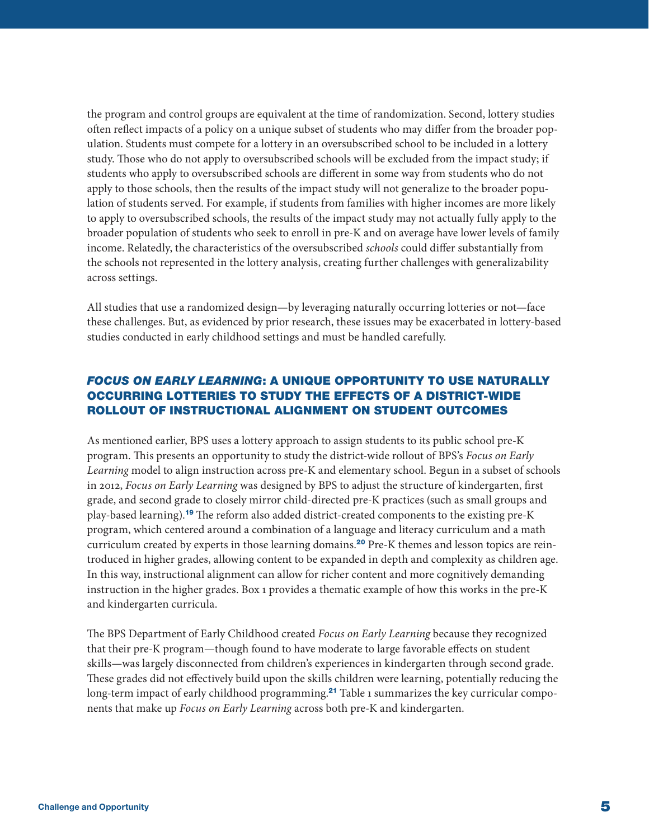<span id="page-4-0"></span>the program and control groups are equivalent at the time of randomization. Second, lottery studies often reflect impacts of a policy on a unique subset of students who may differ from the broader population. Students must compete for a lottery in an oversubscribed school to be included in a lottery study. Those who do not apply to oversubscribed schools will be excluded from the impact study; if students who apply to oversubscribed schools are different in some way from students who do not apply to those schools, then the results of the impact study will not generalize to the broader population of students served. For example, if students from families with higher incomes are more likely to apply to oversubscribed schools, the results of the impact study may not actually fully apply to the broader population of students who seek to enroll in pre-K and on average have lower levels of family income. Relatedly, the characteristics of the oversubscribed *schools* could differ substantially from the schools not represented in the lottery analysis, creating further challenges with generalizability across settings.

All studies that use a randomized design—by leveraging naturally occurring lotteries or not—face these challenges. But, as evidenced by prior research, these issues may be exacerbated in lottery-based studies conducted in early childhood settings and must be handled carefully.

# *FOCUS ON EARLY LEARNING*: A UNIQUE OPPORTUNITY TO USE NATURALLY OCCURRING LOTTERIES TO STUDY THE EFFECTS OF A DISTRICT-WIDE ROLLOUT OF INSTRUCTIONAL ALIGNMENT ON STUDENT OUTCOMES

As mentioned earlier, BPS uses a lottery approach to assign students to its public school pre-K program. This presents an opportunity to study the district-wide rollout of BPS's *Focus on Early Learning* model to align instruction across pre-K and elementary school. Begun in a subset of schools in 2012, *Focus on Early Learning* was designed by BPS to adjust the structure of kindergarten, first grade, and second grade to closely mirror child-directed pre-K practices (such as small groups and play-based learning).[19](#page-18-0) The reform also added district-created components to the existing pre-K program, which centered around a combination of a language and literacy curriculum and a math curriculum created by experts in those learning domains.<sup>[20](#page-18-0)</sup> Pre-K themes and lesson topics are reintroduced in higher grades, allowing content to be expanded in depth and complexity as children age. In this way, instructional alignment can allow for richer content and more cognitively demanding instruction in the higher grades. Box 1 provides a thematic example of how this works in the pre-K and kindergarten curricula.

The BPS Department of Early Childhood created *Focus on Early Learning* because they recognized that their pre-K program—though found to have moderate to large favorable effects on student skills—was largely disconnected from children's experiences in kindergarten through second grade. These grades did not effectively build upon the skills children were learning, potentially reducing the long-term impact of early childhood programming.<sup>[21](#page-18-0)</sup> Table 1 summarizes the key curricular components that make up *Focus on Early Learning* across both pre-K and kindergarten.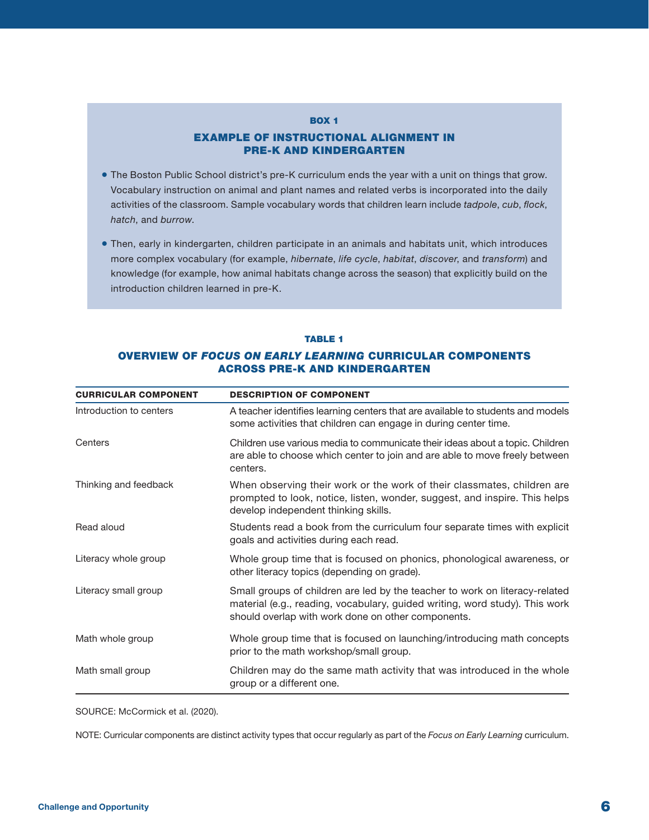#### **BOX 1**

## EXAMPLE OF INSTRUCTIONAL ALIGNMENT IN PRE-K AND KINDERGARTEN

- The Boston Public School district's pre-K curriculum ends the year with a unit on things that grow. Vocabulary instruction on animal and plant names and related verbs is incorporated into the daily activities of the classroom. Sample vocabulary words that children learn include *tadpole*, *cub*, *flock*, *hatch*, and *burrow*.
- Then, early in kindergarten, children participate in an animals and habitats unit, which introduces more complex vocabulary (for example, *hibernate*, *life cycle*, *habitat*, *discover*, and *transform*) and knowledge (for example, how animal habitats change across the season) that explicitly build on the introduction children learned in pre-K.

#### TABLE 1

## OVERVIEW OF *FOCUS ON EARLY LEARNING* CURRICULAR COMPONENTS ACROSS PRE-K AND KINDERGARTEN

| <b>CURRICULAR COMPONENT</b> | <b>DESCRIPTION OF COMPONENT</b>                                                                                                                                                                                  |
|-----------------------------|------------------------------------------------------------------------------------------------------------------------------------------------------------------------------------------------------------------|
| Introduction to centers     | A teacher identifies learning centers that are available to students and models<br>some activities that children can engage in during center time.                                                               |
| Centers                     | Children use various media to communicate their ideas about a topic. Children<br>are able to choose which center to join and are able to move freely between<br>centers.                                         |
| Thinking and feedback       | When observing their work or the work of their classmates, children are<br>prompted to look, notice, listen, wonder, suggest, and inspire. This helps<br>develop independent thinking skills.                    |
| Read aloud                  | Students read a book from the curriculum four separate times with explicit<br>goals and activities during each read.                                                                                             |
| Literacy whole group        | Whole group time that is focused on phonics, phonological awareness, or<br>other literacy topics (depending on grade).                                                                                           |
| Literacy small group        | Small groups of children are led by the teacher to work on literacy-related<br>material (e.g., reading, vocabulary, guided writing, word study). This work<br>should overlap with work done on other components. |
| Math whole group            | Whole group time that is focused on launching/introducing math concepts<br>prior to the math workshop/small group.                                                                                               |
| Math small group            | Children may do the same math activity that was introduced in the whole<br>group or a different one.                                                                                                             |

SOURCE: McCormick et al. (2020).

NOTE: Curricular components are distinct activity types that occur regularly as part of the *Focus on Early Learning* curriculum.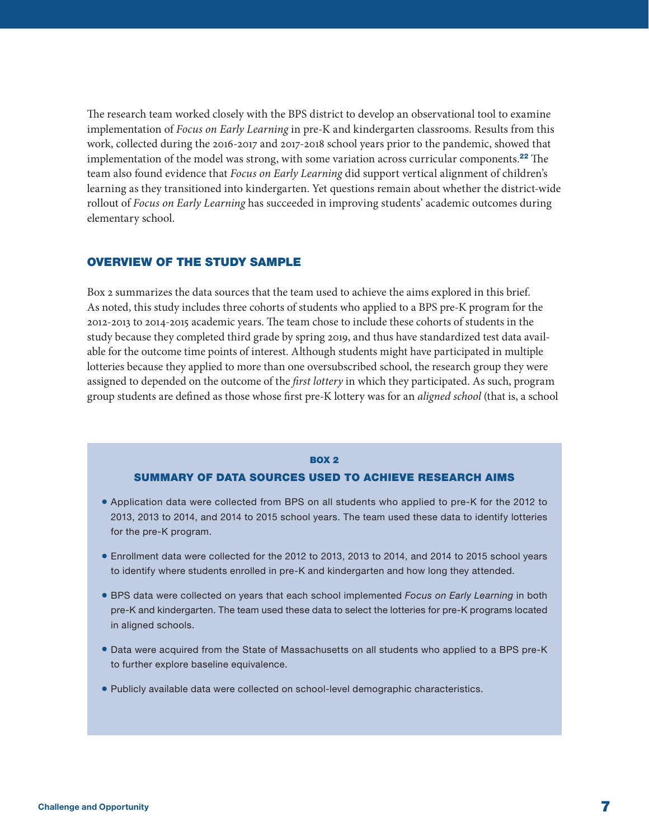<span id="page-6-0"></span>The research team worked closely with the BPS district to develop an observational tool to examine implementation of *Focus on Early Learning* in pre-K and kindergarten classrooms. Results from this work, collected during the 2016-2017 and 2017-2018 school years prior to the pandemic, showed that implementation of the model was strong, with some variation across curricular components.<sup>[22](#page-18-0)</sup> The team also found evidence that *Focus on Early Learning* did support vertical alignment of children's learning as they transitioned into kindergarten. Yet questions remain about whether the district-wide rollout of *Focus on Early Learning* has succeeded in improving students' academic outcomes during elementary school.

# OVERVIEW OF THE STUDY SAMPLE

Box 2 summarizes the data sources that the team used to achieve the aims explored in this brief. As noted, this study includes three cohorts of students who applied to a BPS pre-K program for the 2012-2013 to 2014-2015 academic years. The team chose to include these cohorts of students in the study because they completed third grade by spring 2019, and thus have standardized test data available for the outcome time points of interest. Although students might have participated in multiple lotteries because they applied to more than one oversubscribed school, the research group they were assigned to depended on the outcome of the *first lottery* in which they participated. As such, program group students are defined as those whose first pre-K lottery was for an *aligned school* (that is, a school

#### **BOX 2**

# SUMMARY OF DATA SOURCES USED TO ACHIEVE RESEARCH AIMS

- Application data were collected from BPS on all students who applied to pre-K for the 2012 to 2013, 2013 to 2014, and 2014 to 2015 school years. The team used these data to identify lotteries for the pre-K program.
- Enrollment data were collected for the 2012 to 2013, 2013 to 2014, and 2014 to 2015 school years to identify where students enrolled in pre-K and kindergarten and how long they attended.
- BPS data were collected on years that each school implemented *Focus on Early Learning* in both pre-K and kindergarten. The team used these data to select the lotteries for pre-K programs located in aligned schools.
- Data were acquired from the State of Massachusetts on all students who applied to a BPS pre-K to further explore baseline equivalence.
- Publicly available data were collected on school-level demographic characteristics.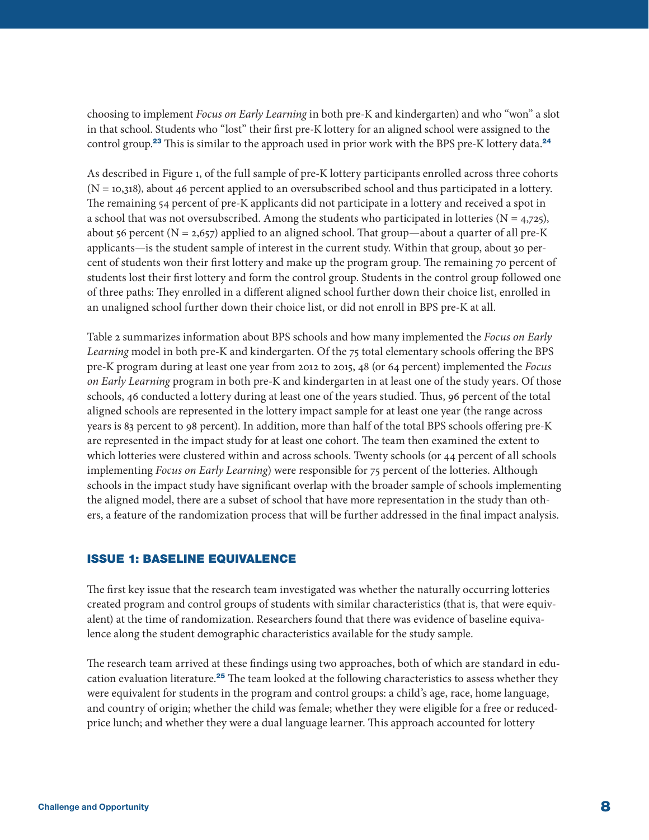<span id="page-7-0"></span>choosing to implement *Focus on Early Learning* in both pre-K and kindergarten) and who "won" a slot in that school. Students who "lost" their first pre-K lottery for an aligned school were assigned to the control group.<sup>[23](#page-18-0)</sup> This is similar to the approach used in prior work with the BPS pre-K lottery data.<sup>[24](#page-18-0)</sup>

As described in Figure 1, of the full sample of pre-K lottery participants enrolled across three cohorts  $(N = 10,318)$ , about 46 percent applied to an oversubscribed school and thus participated in a lottery. The remaining 54 percent of pre-K applicants did not participate in a lottery and received a spot in a school that was not oversubscribed. Among the students who participated in lotteries ( $N = 4.725$ ), about 56 percent ( $N = 2,657$ ) applied to an aligned school. That group—about a quarter of all pre-K applicants—is the student sample of interest in the current study. Within that group, about 30 percent of students won their first lottery and make up the program group. The remaining 70 percent of students lost their first lottery and form the control group. Students in the control group followed one of three paths: They enrolled in a different aligned school further down their choice list, enrolled in an unaligned school further down their choice list, or did not enroll in BPS pre-K at all.

Table 2 summarizes information about BPS schools and how many implemented the *Focus on Early Learning* model in both pre-K and kindergarten. Of the 75 total elementary schools offering the BPS pre-K program during at least one year from 2012 to 2015, 48 (or 64 percent) implemented the *Focus on Early Learning* program in both pre-K and kindergarten in at least one of the study years. Of those schools, 46 conducted a lottery during at least one of the years studied. Thus, 96 percent of the total aligned schools are represented in the lottery impact sample for at least one year (the range across years is 83 percent to 98 percent). In addition, more than half of the total BPS schools offering pre-K are represented in the impact study for at least one cohort. The team then examined the extent to which lotteries were clustered within and across schools. Twenty schools (or 44 percent of all schools implementing *Focus on Early Learning*) were responsible for 75 percent of the lotteries. Although schools in the impact study have significant overlap with the broader sample of schools implementing the aligned model, there are a subset of school that have more representation in the study than others, a feature of the randomization process that will be further addressed in the final impact analysis.

## ISSUE 1: BASELINE EQUIVALENCE

The first key issue that the research team investigated was whether the naturally occurring lotteries created program and control groups of students with similar characteristics (that is, that were equivalent) at the time of randomization. Researchers found that there was evidence of baseline equivalence along the student demographic characteristics available for the study sample.

The research team arrived at these findings using two approaches, both of which are standard in edu-cation evaluation literature.<sup>[25](#page-18-0)</sup> The team looked at the following characteristics to assess whether they were equivalent for students in the program and control groups: a child's age, race, home language, and country of origin; whether the child was female; whether they were eligible for a free or reducedprice lunch; and whether they were a dual language learner. This approach accounted for lottery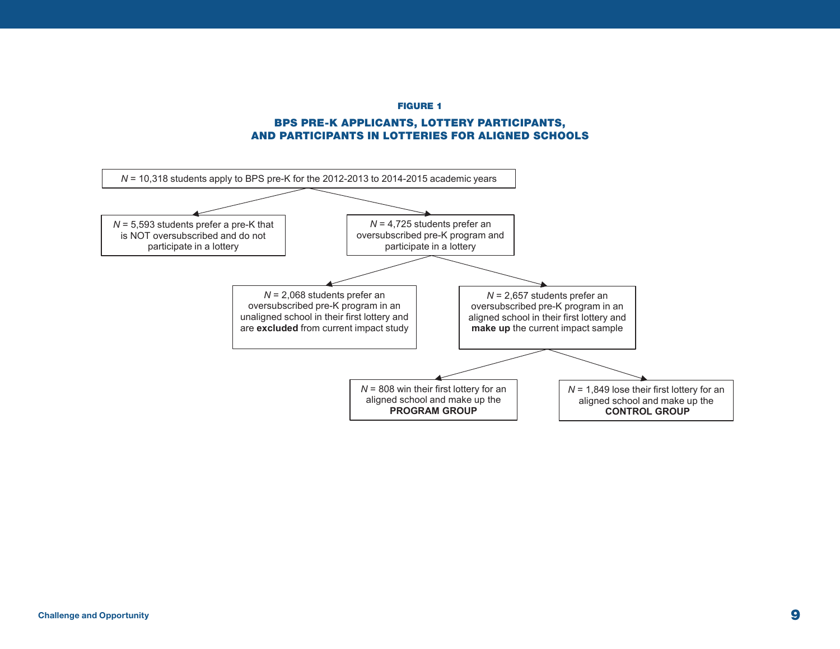FIGURE 1

## BPS PRE-K APPLICANTS, LOTTERY PARTICIPANTS, AND PARTICIPANTS IN LOTTERIES FOR ALIGNED SCHOOLS

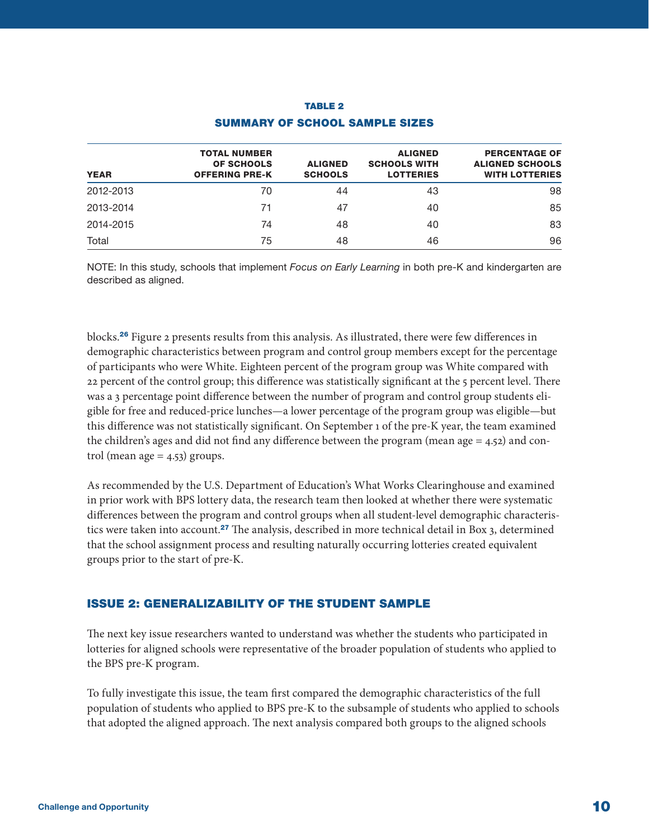<span id="page-9-0"></span>

| <b>YEAR</b> | <b>TOTAL NUMBER</b><br><b>OF SCHOOLS</b><br><b>OFFERING PRE-K</b> | <b>ALIGNED</b><br><b>SCHOOLS</b> | <b>ALIGNED</b><br><b>SCHOOLS WITH</b><br><b>LOTTERIES</b> | <b>PERCENTAGE OF</b><br><b>ALIGNED SCHOOLS</b><br><b>WITH LOTTERIES</b> |
|-------------|-------------------------------------------------------------------|----------------------------------|-----------------------------------------------------------|-------------------------------------------------------------------------|
| 2012-2013   | 70                                                                | 44                               | 43                                                        | 98                                                                      |
| 2013-2014   | 71                                                                | 47                               | 40                                                        | 85                                                                      |
| 2014-2015   | 74                                                                | 48                               | 40                                                        | 83                                                                      |
| Total       | 75                                                                | 48                               | 46                                                        | 96                                                                      |

# TABLE 2 SUMMARY OF SCHOOL SAMPLE SIZES

NOTE: In this study, schools that implement *Focus on Early Learning* in both pre-K and kindergarten are described as aligned.

blocks.[26](#page-18-0) Figure 2 presents results from this analysis. As illustrated, there were few differences in demographic characteristics between program and control group members except for the percentage of participants who were White. Eighteen percent of the program group was White compared with 22 percent of the control group; this difference was statistically significant at the 5 percent level. There was a 3 percentage point difference between the number of program and control group students eligible for free and reduced-price lunches—a lower percentage of the program group was eligible—but this difference was not statistically significant. On September 1 of the pre-K year, the team examined the children's ages and did not find any difference between the program (mean age  $=$  4.52) and control (mean age  $=$  4.53) groups.

As recommended by the U.S. Department of Education's What Works Clearinghouse and examined in prior work with BPS lottery data, the research team then looked at whether there were systematic differences between the program and control groups when all student-level demographic characteris-tics were taken into account.<sup>[27](#page-18-0)</sup> The analysis, described in more technical detail in Box 3, determined that the school assignment process and resulting naturally occurring lotteries created equivalent groups prior to the start of pre-K.

# ISSUE 2: GENERALIZABILITY OF THE STUDENT SAMPLE

The next key issue researchers wanted to understand was whether the students who participated in lotteries for aligned schools were representative of the broader population of students who applied to the BPS pre-K program.

To fully investigate this issue, the team first compared the demographic characteristics of the full population of students who applied to BPS pre-K to the subsample of students who applied to schools that adopted the aligned approach. The next analysis compared both groups to the aligned schools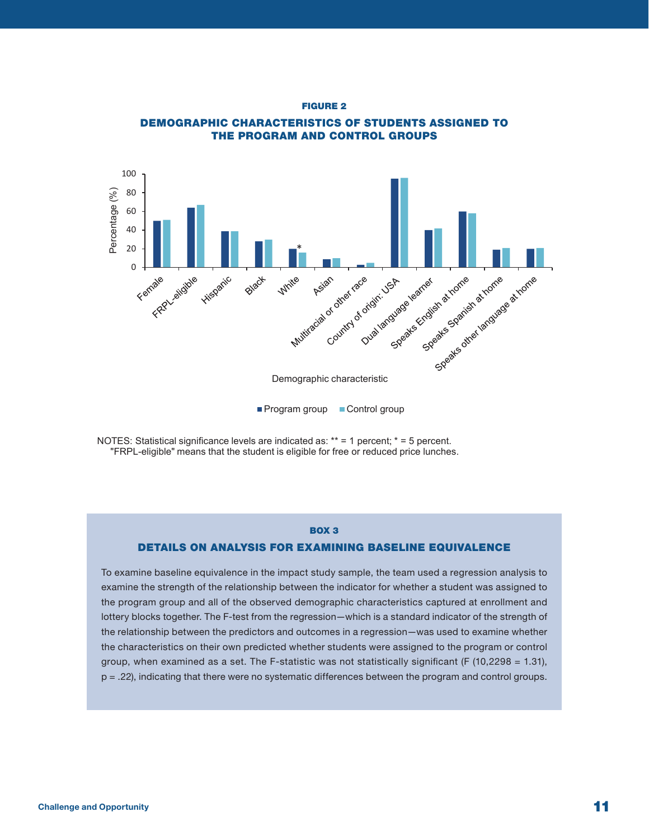**Figure 2** FIGURE 2



**Demographic Characteristics of Students Assigned to the Program and** THE PROGRAM AND CONTROL GROUPS DEMOGRAPHIC CHARACTERISTICS OF STUDENTS ASSIGNED TO

NOTES: Statistical significance levels are indicated as: \*\* = 1 percent; \* = 5 percent. "FRPL-eligible" means that the student is eligible for free or reduced price lunches.

## BOX 3

#### DETAILS ON ANALYSIS FOR EXAMINING BASELINE EQUIVALENCE

To examine baseline equivalence in the impact study sample, the team used a regression analysis to examine the strength of the relationship between the indicator for whether a student was assigned to the program group and all of the observed demographic characteristics captured at enrollment and lottery blocks together. The F-test from the regression—which is a standard indicator of the strength of the relationship between the predictors and outcomes in a regression—was used to examine whether the characteristics on their own predicted whether students were assigned to the program or control group, when examined as a set. The F-statistic was not statistically significant (F  $(10,2298 = 1.31)$ , p = .22), indicating that there were no systematic differences between the program and control groups.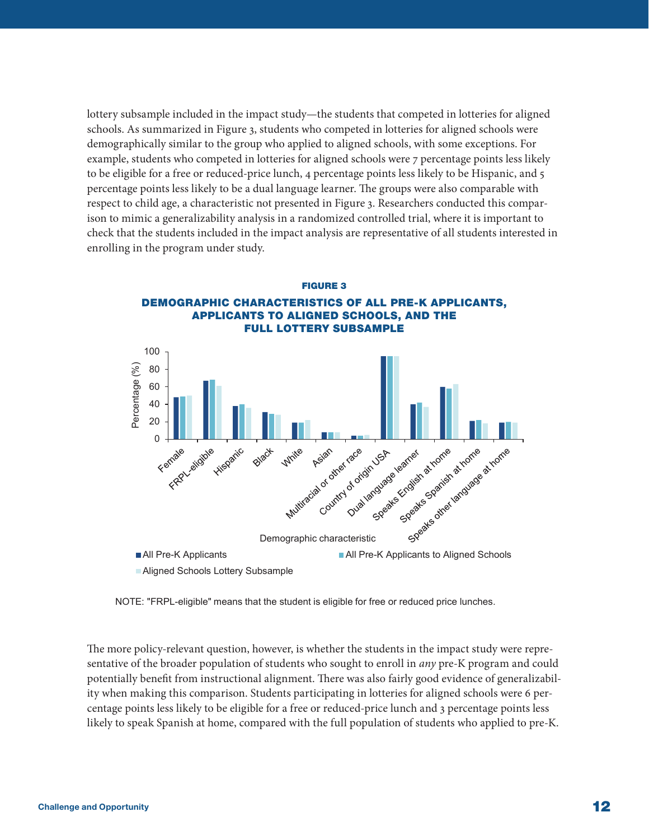lottery subsample included in the impact study—the students that competed in lotteries for aligned schools. As summarized in Figure 3, students who competed in lotteries for aligned schools were demographically similar to the group who applied to aligned schools, with some exceptions. For example, students who competed in lotteries for aligned schools were 7 percentage points less likely to be eligible for a free or reduced-price lunch, 4 percentage points less likely to be Hispanic, and 5 percentage points less likely to be a dual language learner. The groups were also comparable with respect to child age, a characteristic not presented in Figure 3. Researchers conducted this comparison to mimic a generalizability analysis in a randomized controlled trial, where it is important to check that the students included in the impact analysis are representative of all students interested in enrolling in the program under study.



NOTE: "FRPL-eligible" means that the student is eligible for free or reduced price lunches.

The more policy-relevant question, however, is whether the students in the impact study were representative of the broader population of students who sought to enroll in *any* pre-K program and could potentially benefit from instructional alignment. There was also fairly good evidence of generalizability when making this comparison. Students participating in lotteries for aligned schools were 6 percentage points less likely to be eligible for a free or reduced-price lunch and 3 percentage points less likely to speak Spanish at home, compared with the full population of students who applied to pre-K.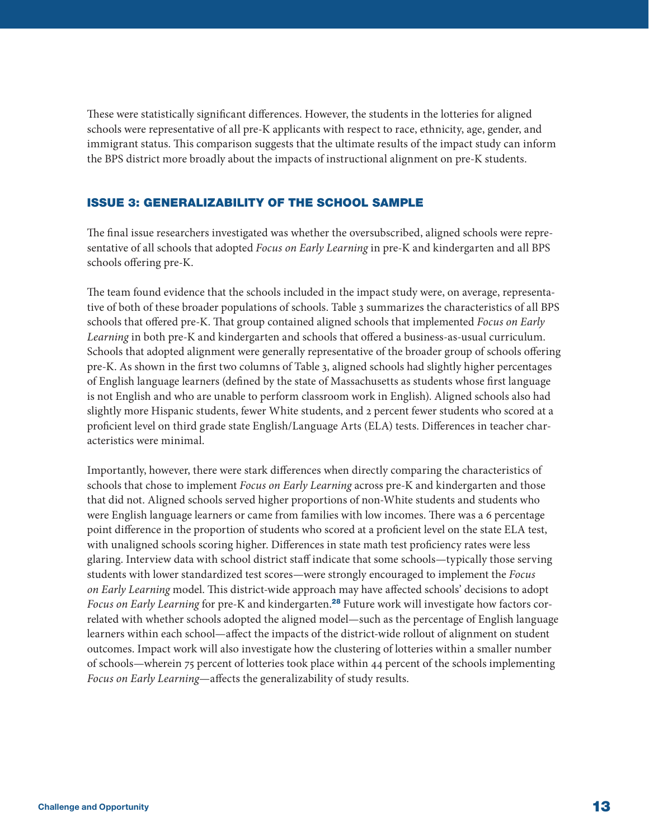<span id="page-12-0"></span>These were statistically significant differences. However, the students in the lotteries for aligned schools were representative of all pre-K applicants with respect to race, ethnicity, age, gender, and immigrant status. This comparison suggests that the ultimate results of the impact study can inform the BPS district more broadly about the impacts of instructional alignment on pre-K students.

# ISSUE 3: GENERALIZABILITY OF THE SCHOOL SAMPLE

The final issue researchers investigated was whether the oversubscribed, aligned schools were representative of all schools that adopted *Focus on Early Learning* in pre-K and kindergarten and all BPS schools offering pre-K.

The team found evidence that the schools included in the impact study were, on average, representative of both of these broader populations of schools. Table 3 summarizes the characteristics of all BPS schools that offered pre-K. That group contained aligned schools that implemented *Focus on Early Learning* in both pre-K and kindergarten and schools that offered a business-as-usual curriculum. Schools that adopted alignment were generally representative of the broader group of schools offering pre-K. As shown in the first two columns of Table 3, aligned schools had slightly higher percentages of English language learners (defined by the state of Massachusetts as students whose first language is not English and who are unable to perform classroom work in English). Aligned schools also had slightly more Hispanic students, fewer White students, and 2 percent fewer students who scored at a proficient level on third grade state English/Language Arts (ELA) tests. Differences in teacher characteristics were minimal.

Importantly, however, there were stark differences when directly comparing the characteristics of schools that chose to implement *Focus on Early Learning* across pre-K and kindergarten and those that did not. Aligned schools served higher proportions of non-White students and students who were English language learners or came from families with low incomes. There was a 6 percentage point difference in the proportion of students who scored at a proficient level on the state ELA test, with unaligned schools scoring higher. Differences in state math test proficiency rates were less glaring. Interview data with school district staff indicate that some schools—typically those serving students with lower standardized test scores—were strongly encouraged to implement the *Focus on Early Learning* model. This district-wide approach may have affected schools' decisions to adopt *Focus on Early Learning* for pre-K and kindergarten.[28](#page-18-0) Future work will investigate how factors correlated with whether schools adopted the aligned model—such as the percentage of English language learners within each school—affect the impacts of the district-wide rollout of alignment on student outcomes. Impact work will also investigate how the clustering of lotteries within a smaller number of schools—wherein 75 percent of lotteries took place within 44 percent of the schools implementing *Focus on Early Learning*—affects the generalizability of study results.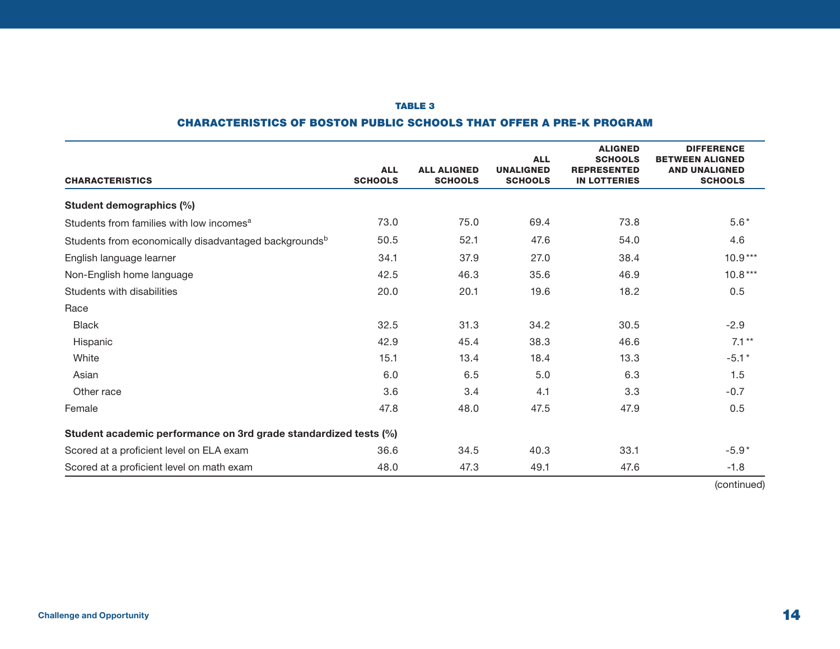## TABLE 3

# CHARACTERISTICS OF BOSTON PUBLIC SCHOOLS THAT OFFER A PRE-K PROGRAM

| <b>CHARACTERISTICS</b>                                            | <b>ALL</b><br><b>SCHOOLS</b> | <b>ALL ALIGNED</b><br><b>SCHOOLS</b> | <b>ALL</b><br><b>UNALIGNED</b><br><b>SCHOOLS</b> | <b>ALIGNED</b><br><b>SCHOOLS</b><br><b>REPRESENTED</b><br><b>IN LOTTERIES</b> | <b>DIFFERENCE</b><br><b>BETWEEN ALIGNED</b><br><b>AND UNALIGNED</b><br><b>SCHOOLS</b> |
|-------------------------------------------------------------------|------------------------------|--------------------------------------|--------------------------------------------------|-------------------------------------------------------------------------------|---------------------------------------------------------------------------------------|
| Student demographics (%)                                          |                              |                                      |                                                  |                                                                               |                                                                                       |
| Students from families with low incomes <sup>a</sup>              | 73.0                         | 75.0                                 | 69.4                                             | 73.8                                                                          | $5.6*$                                                                                |
| Students from economically disadvantaged backgrounds <sup>b</sup> | 50.5                         | 52.1                                 | 47.6                                             | 54.0                                                                          | 4.6                                                                                   |
| English language learner                                          | 34.1                         | 37.9                                 | 27.0                                             | 38.4                                                                          | $10.9***$                                                                             |
| Non-English home language                                         | 42.5                         | 46.3                                 | 35.6                                             | 46.9                                                                          | $10.8***$                                                                             |
| Students with disabilities                                        | 20.0                         | 20.1                                 | 19.6                                             | 18.2                                                                          | 0.5                                                                                   |
| Race                                                              |                              |                                      |                                                  |                                                                               |                                                                                       |
| <b>Black</b>                                                      | 32.5                         | 31.3                                 | 34.2                                             | 30.5                                                                          | $-2.9$                                                                                |
| Hispanic                                                          | 42.9                         | 45.4                                 | 38.3                                             | 46.6                                                                          | $7.1**$                                                                               |
| White                                                             | 15.1                         | 13.4                                 | 18.4                                             | 13.3                                                                          | $-5.1*$                                                                               |
| Asian                                                             | 6.0                          | 6.5                                  | 5.0                                              | 6.3                                                                           | 1.5                                                                                   |
| Other race                                                        | 3.6                          | 3.4                                  | 4.1                                              | 3.3                                                                           | $-0.7$                                                                                |
| Female                                                            | 47.8                         | 48.0                                 | 47.5                                             | 47.9                                                                          | 0.5                                                                                   |
| Student academic performance on 3rd grade standardized tests (%)  |                              |                                      |                                                  |                                                                               |                                                                                       |
| Scored at a proficient level on ELA exam                          | 36.6                         | 34.5                                 | 40.3                                             | 33.1                                                                          | $-5.9*$                                                                               |
| Scored at a proficient level on math exam                         | 48.0                         | 47.3                                 | 49.1                                             | 47.6                                                                          | $-1.8$                                                                                |

(continued)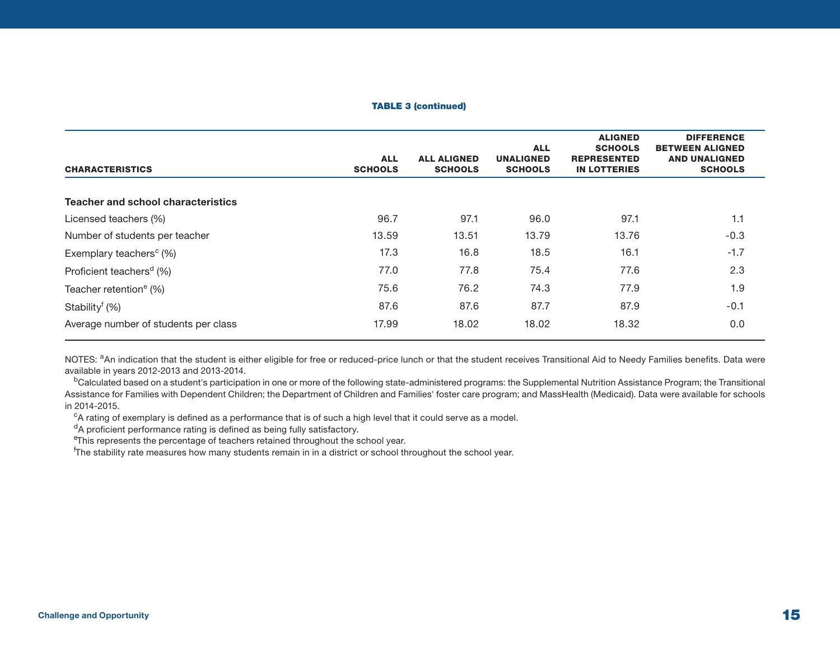#### TABLE 3 (continued)

| <b>CHARACTERISTICS</b>                 | <b>ALL</b><br><b>SCHOOLS</b> | <b>ALL ALIGNED</b><br><b>SCHOOLS</b> | <b>ALL</b><br><b>UNALIGNED</b><br><b>SCHOOLS</b> | <b>ALIGNED</b><br><b>SCHOOLS</b><br><b>REPRESENTED</b><br><b>IN LOTTERIES</b> | <b>DIFFERENCE</b><br><b>BETWEEN ALIGNED</b><br><b>AND UNALIGNED</b><br><b>SCHOOLS</b> |
|----------------------------------------|------------------------------|--------------------------------------|--------------------------------------------------|-------------------------------------------------------------------------------|---------------------------------------------------------------------------------------|
| Teacher and school characteristics     |                              |                                      |                                                  |                                                                               |                                                                                       |
| Licensed teachers (%)                  | 96.7                         | 97.1                                 | 96.0                                             | 97.1                                                                          | 1.1                                                                                   |
| Number of students per teacher         | 13.59                        | 13.51                                | 13.79                                            | 13.76                                                                         | $-0.3$                                                                                |
| Exemplary teachers <sup>c</sup> $(\%)$ | 17.3                         | 16.8                                 | 18.5                                             | 16.1                                                                          | $-1.7$                                                                                |
| Proficient teachers <sup>d</sup> (%)   | 77.0                         | 77.8                                 | 75.4                                             | 77.6                                                                          | 2.3                                                                                   |
| Teacher retention <sup>e</sup> (%)     | 75.6                         | 76.2                                 | 74.3                                             | 77.9                                                                          | 1.9                                                                                   |
| Stability <sup>f</sup> (%)             | 87.6                         | 87.6                                 | 87.7                                             | 87.9                                                                          | $-0.1$                                                                                |
| Average number of students per class   | 17.99                        | 18.02                                | 18.02                                            | 18.32                                                                         | 0.0                                                                                   |

NOTES: <sup>a</sup>An indication that the student is either eligible for free or reduced-price lunch or that the student receives Transitional Aid to Needy Families benefits. Data were available in years 2012-2013 and 2013-2014.

<sup>b</sup>Calculated based on a student's participation in one or more of the following state-administered programs: the Supplemental Nutrition Assistance Program; the Transitional Assistance for Families with Dependent Children; the Department of Children and Families' foster care program; and MassHealth (Medicaid). Data were available for schools in 2014-2015.

 $c$ A rating of exemplary is defined as a performance that is of such a high level that it could serve as a model.

<sup>d</sup>A proficient performance rating is defined as being fully satisfactory.

<sup>e</sup>This represents the percentage of teachers retained throughout the school year.

f The stability rate measures how many students remain in in a district or school throughout the school year.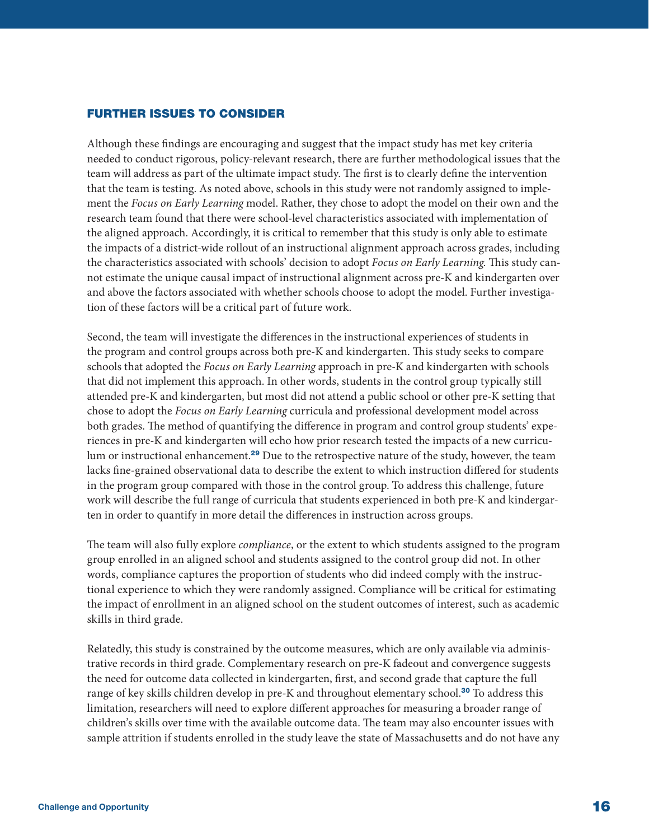# <span id="page-15-0"></span>FURTHER ISSUES TO CONSIDER

Although these findings are encouraging and suggest that the impact study has met key criteria needed to conduct rigorous, policy-relevant research, there are further methodological issues that the team will address as part of the ultimate impact study. The first is to clearly define the intervention that the team is testing. As noted above, schools in this study were not randomly assigned to implement the *Focus on Early Learning* model. Rather, they chose to adopt the model on their own and the research team found that there were school-level characteristics associated with implementation of the aligned approach. Accordingly, it is critical to remember that this study is only able to estimate the impacts of a district-wide rollout of an instructional alignment approach across grades, including the characteristics associated with schools' decision to adopt *Focus on Early Learning*. This study cannot estimate the unique causal impact of instructional alignment across pre-K and kindergarten over and above the factors associated with whether schools choose to adopt the model. Further investigation of these factors will be a critical part of future work.

Second, the team will investigate the differences in the instructional experiences of students in the program and control groups across both pre-K and kindergarten. This study seeks to compare schools that adopted the *Focus on Early Learning* approach in pre-K and kindergarten with schools that did not implement this approach. In other words, students in the control group typically still attended pre-K and kindergarten, but most did not attend a public school or other pre-K setting that chose to adopt the *Focus on Early Learning* curricula and professional development model across both grades. The method of quantifying the difference in program and control group students' experiences in pre-K and kindergarten will echo how prior research tested the impacts of a new curricu-lum or instructional enhancement.<sup>[29](#page-18-0)</sup> Due to the retrospective nature of the study, however, the team lacks fine-grained observational data to describe the extent to which instruction differed for students in the program group compared with those in the control group. To address this challenge, future work will describe the full range of curricula that students experienced in both pre-K and kindergarten in order to quantify in more detail the differences in instruction across groups.

The team will also fully explore *compliance*, or the extent to which students assigned to the program group enrolled in an aligned school and students assigned to the control group did not. In other words, compliance captures the proportion of students who did indeed comply with the instructional experience to which they were randomly assigned. Compliance will be critical for estimating the impact of enrollment in an aligned school on the student outcomes of interest, such as academic skills in third grade.

Relatedly, this study is constrained by the outcome measures, which are only available via administrative records in third grade. Complementary research on pre-K fadeout and convergence suggests the need for outcome data collected in kindergarten, first, and second grade that capture the full range of key skills children develop in pre-K and throughout elementary school.<sup>[30](#page-19-0)</sup> To address this limitation, researchers will need to explore different approaches for measuring a broader range of children's skills over time with the available outcome data. The team may also encounter issues with sample attrition if students enrolled in the study leave the state of Massachusetts and do not have any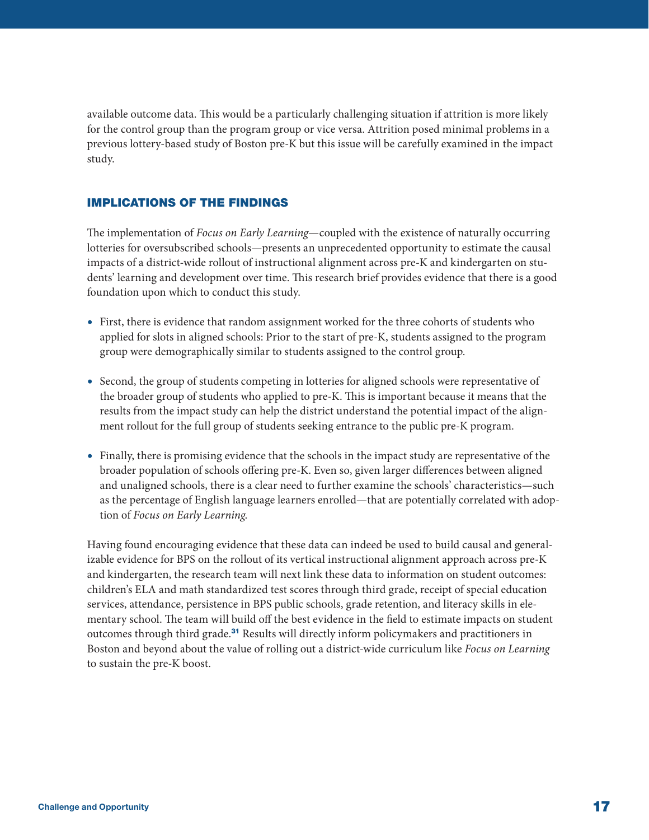<span id="page-16-0"></span>available outcome data. This would be a particularly challenging situation if attrition is more likely for the control group than the program group or vice versa. Attrition posed minimal problems in a previous lottery-based study of Boston pre-K but this issue will be carefully examined in the impact study.

# IMPLICATIONS OF THE FINDINGS

The implementation of *Focus on Early Learning*—coupled with the existence of naturally occurring lotteries for oversubscribed schools—presents an unprecedented opportunity to estimate the causal impacts of a district-wide rollout of instructional alignment across pre-K and kindergarten on students' learning and development over time. This research brief provides evidence that there is a good foundation upon which to conduct this study.

- First, there is evidence that random assignment worked for the three cohorts of students who applied for slots in aligned schools: Prior to the start of pre-K, students assigned to the program group were demographically similar to students assigned to the control group.
- Second, the group of students competing in lotteries for aligned schools were representative of the broader group of students who applied to pre-K. This is important because it means that the results from the impact study can help the district understand the potential impact of the alignment rollout for the full group of students seeking entrance to the public pre-K program.
- Finally, there is promising evidence that the schools in the impact study are representative of the broader population of schools offering pre-K. Even so, given larger differences between aligned and unaligned schools, there is a clear need to further examine the schools' characteristics—such as the percentage of English language learners enrolled—that are potentially correlated with adoption of *Focus on Early Learning*.

Having found encouraging evidence that these data can indeed be used to build causal and generalizable evidence for BPS on the rollout of its vertical instructional alignment approach across pre-K and kindergarten, the research team will next link these data to information on student outcomes: children's ELA and math standardized test scores through third grade, receipt of special education services, attendance, persistence in BPS public schools, grade retention, and literacy skills in elementary school. The team will build off the best evidence in the field to estimate impacts on student outcomes through third grade.[31](#page-19-0) Results will directly inform policymakers and practitioners in Boston and beyond about the value of rolling out a district-wide curriculum like *Focus on Learning* to sustain the pre-K boost.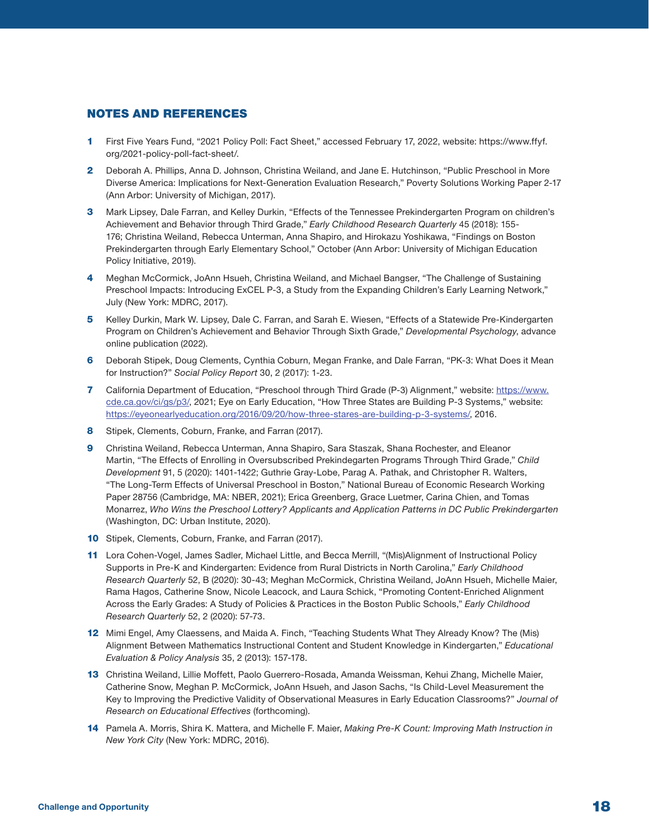# <span id="page-17-0"></span>NOTES AND REFERENCES

- [1](#page-0-0) First Five Years Fund, "2021 Policy Poll: Fact Sheet," accessed February 17, 2022, website: https://www.ffyf. org/2021-policy-poll-fact-sheet/.
- [2](#page-0-0) Deborah A. Phillips, Anna D. Johnson, Christina Weiland, and Jane E. Hutchinson, "Public Preschool in More Diverse America: Implications for Next-Generation Evaluation Research," Poverty Solutions Working Paper 2-17 (Ann Arbor: University of Michigan, 2017).
- [3](#page-0-0) Mark Lipsey, Dale Farran, and Kelley Durkin, "Effects of the Tennessee Prekindergarten Program on children's Achievement and Behavior through Third Grade," *Early Childhood Research Quarterly* 45 (2018): 155- 176; Christina Weiland, Rebecca Unterman, Anna Shapiro, and Hirokazu Yoshikawa, "Findings on Boston Prekindergarten through Early Elementary School," October (Ann Arbor: University of Michigan Education Policy Initiative, 2019).
- [4](#page-0-0) Meghan McCormick, JoAnn Hsueh, Christina Weiland, and Michael Bangser, "The Challenge of Sustaining Preschool Impacts: Introducing ExCEL P-3, a Study from the Expanding Children's Early Learning Network," July (New York: MDRC, 2017).
- [5](#page-0-0) Kelley Durkin, Mark W. Lipsey, Dale C. Farran, and Sarah E. Wiesen, "Effects of a Statewide Pre-Kindergarten Program on Children's Achievement and Behavior Through Sixth Grade," *Developmental Psychology*, advance online publication (2022).
- [6](#page-0-0) Deborah Stipek, Doug Clements, Cynthia Coburn, Megan Franke, and Dale Farran, "PK-3: What Does it Mean for Instruction?" *Social Policy Report* 30, 2 (2017): 1-23.
- [7](#page-0-0) California Department of Education, "Preschool through Third Grade (P-3) Alignment," website: [https://www.](https://www.cde.ca.gov/ci/gs/p3/) [cde.ca.gov/ci/gs/p3/,](https://www.cde.ca.gov/ci/gs/p3/) 2021; Eye on Early Education, "How Three States are Building P-3 Systems," website: <https://eyeonearlyeducation.org/2016/09/20/how-three-stares-are-building-p-3-systems/>, 2016.
- [8](#page-0-0) Stipek, Clements, Coburn, Franke, and Farran (2017).
- [9](#page-1-0) Christina Weiland, Rebecca Unterman, Anna Shapiro, Sara Staszak, Shana Rochester, and Eleanor Martin, "The Effects of Enrolling in Oversubscribed Prekindegarten Programs Through Third Grade," *Child Development* 91, 5 (2020): 1401-1422; Guthrie Gray-Lobe, Parag A. Pathak, and Christopher R. Walters, "The Long-Term Effects of Universal Preschool in Boston," National Bureau of Economic Research Working Paper 28756 (Cambridge, MA: NBER, 2021); Erica Greenberg, Grace Luetmer, Carina Chien, and Tomas Monarrez, *Who Wins the Preschool Lottery? Applicants and Application Patterns in DC Public Prekindergarten* (Washington, DC: Urban Institute, 2020).
- [10](#page-2-0) Stipek, Clements, Coburn, Franke, and Farran (2017).
- [11](#page-2-0) Lora Cohen-Vogel, James Sadler, Michael Little, and Becca Merrill, "(Mis)Alignment of Instructional Policy Supports in Pre-K and Kindergarten: Evidence from Rural Districts in North Carolina," *Early Childhood Research Quarterly* 52, B (2020): 30-43; Meghan McCormick, Christina Weiland, JoAnn Hsueh, Michelle Maier, Rama Hagos, Catherine Snow, Nicole Leacock, and Laura Schick, "Promoting Content-Enriched Alignment Across the Early Grades: A Study of Policies & Practices in the Boston Public Schools," *Early Childhood Research Quarterly* 52, 2 (2020): 57-73.
- [12](#page-2-0) Mimi Engel, Amy Claessens, and Maida A. Finch, "Teaching Students What They Already Know? The (Mis) Alignment Between Mathematics Instructional Content and Student Knowledge in Kindergarten," *Educational Evaluation & Policy Analysis* 35, 2 (2013): 157-178.
- [13](#page-2-0) Christina Weiland, Lillie Moffett, Paolo Guerrero-Rosada, Amanda Weissman, Kehui Zhang, Michelle Maier, Catherine Snow, Meghan P. McCormick, JoAnn Hsueh, and Jason Sachs, "Is Child-Level Measurement the Key to Improving the Predictive Validity of Observational Measures in Early Education Classrooms?" *Journal of Research on Educational Effectives* (forthcoming).
- [14](#page-2-0) Pamela A. Morris, Shira K. Mattera, and Michelle F. Maier, *Making Pre-K Count: Improving Math Instruction in New York City* (New York: MDRC, 2016).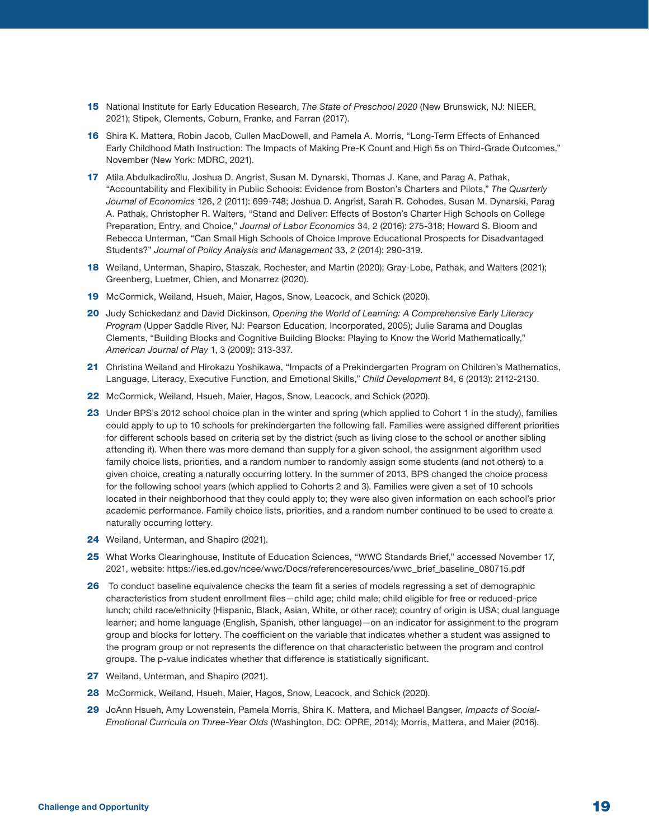- <span id="page-18-0"></span>[15](#page-2-0) National Institute for Early Education Research, *The State of Preschool 2020* (New Brunswick, NJ: NIEER, 2021); Stipek, Clements, Coburn, Franke, and Farran (2017).
- [16](#page-2-0) Shira K. Mattera, Robin Jacob, Cullen MacDowell, and Pamela A. Morris, "Long-Term Effects of Enhanced Early Childhood Math Instruction: The Impacts of Making Pre-K Count and High 5s on Third-Grade Outcomes," November (New York: MDRC, 2021).
- [17](#page-3-0) Atila Abdulkadiro lu, Joshua D. Angrist, Susan M. Dynarski, Thomas J. Kane, and Parag A. Pathak, "Accountability and Flexibility in Public Schools: Evidence from Boston's Charters and Pilots," *The Quarterly Journal of Economics* 126, 2 (2011): 699-748; Joshua D. Angrist, Sarah R. Cohodes, Susan M. Dynarski, Parag A. Pathak, Christopher R. Walters, "Stand and Deliver: Effects of Boston's Charter High Schools on College Preparation, Entry, and Choice," *Journal of Labor Economics* 34, 2 (2016): 275-318; Howard S. Bloom and Rebecca Unterman, "Can Small High Schools of Choice Improve Educational Prospects for Disadvantaged Students?" *Journal of Policy Analysis and Management* 33, 2 (2014): 290-319.
- [18](#page-3-0) Weiland, Unterman, Shapiro, Staszak, Rochester, and Martin (2020); Gray-Lobe, Pathak, and Walters (2021); Greenberg, Luetmer, Chien, and Monarrez (2020).
- [19](#page-4-0) McCormick, Weiland, Hsueh, Maier, Hagos, Snow, Leacock, and Schick (2020).
- [20](#page-4-0) Judy Schickedanz and David Dickinson, *Opening the World of Learning: A Comprehensive Early Literacy Program* (Upper Saddle River, NJ: Pearson Education, Incorporated, 2005); Julie Sarama and Douglas Clements, "Building Blocks and Cognitive Building Blocks: Playing to Know the World Mathematically," *American Journal of Play* 1, 3 (2009): 313-337.
- [21](#page-4-0) Christina Weiland and Hirokazu Yoshikawa, "Impacts of a Prekindergarten Program on Children's Mathematics, Language, Literacy, Executive Function, and Emotional Skills," *Child Development* 84, 6 (2013): 2112-2130.
- [22](#page-6-0) McCormick, Weiland, Hsueh, Maier, Hagos, Snow, Leacock, and Schick (2020).
- [23](#page-7-0) Under BPS's 2012 school choice plan in the winter and spring (which applied to Cohort 1 in the study), families could apply to up to 10 schools for prekindergarten the following fall. Families were assigned different priorities for different schools based on criteria set by the district (such as living close to the school or another sibling attending it). When there was more demand than supply for a given school, the assignment algorithm used family choice lists, priorities, and a random number to randomly assign some students (and not others) to a given choice, creating a naturally occurring lottery. In the summer of 2013, BPS changed the choice process for the following school years (which applied to Cohorts 2 and 3). Families were given a set of 10 schools located in their neighborhood that they could apply to; they were also given information on each school's prior academic performance. Family choice lists, priorities, and a random number continued to be used to create a naturally occurring lottery.
- [24](#page-7-0) Weiland, Unterman, and Shapiro (2021).
- [25](#page-7-0) What Works Clearinghouse, Institute of Education Sciences, "WWC Standards Brief," accessed November 17, 2021, website: https://ies.ed.gov/ncee/wwc/Docs/referenceresources/wwc\_brief\_baseline\_080715.pdf
- [26](#page-9-0) To conduct baseline equivalence checks the team fit a series of models regressing a set of demographic characteristics from student enrollment files—child age; child male; child eligible for free or reduced-price lunch; child race/ethnicity (Hispanic, Black, Asian, White, or other race); country of origin is USA; dual language learner; and home language (English, Spanish, other language)—on an indicator for assignment to the program group and blocks for lottery. The coefficient on the variable that indicates whether a student was assigned to the program group or not represents the difference on that characteristic between the program and control groups. The p-value indicates whether that difference is statistically significant.
- [27](#page-9-0) Weiland, Unterman, and Shapiro (2021).
- [28](#page-12-0) McCormick, Weiland, Hsueh, Maier, Hagos, Snow, Leacock, and Schick (2020).
- [29](#page-15-0) JoAnn Hsueh, Amy Lowenstein, Pamela Morris, Shira K. Mattera, and Michael Bangser, *Impacts of Social-Emotional Curricula on Three-Year Olds* (Washington, DC: OPRE, 2014); Morris, Mattera, and Maier (2016).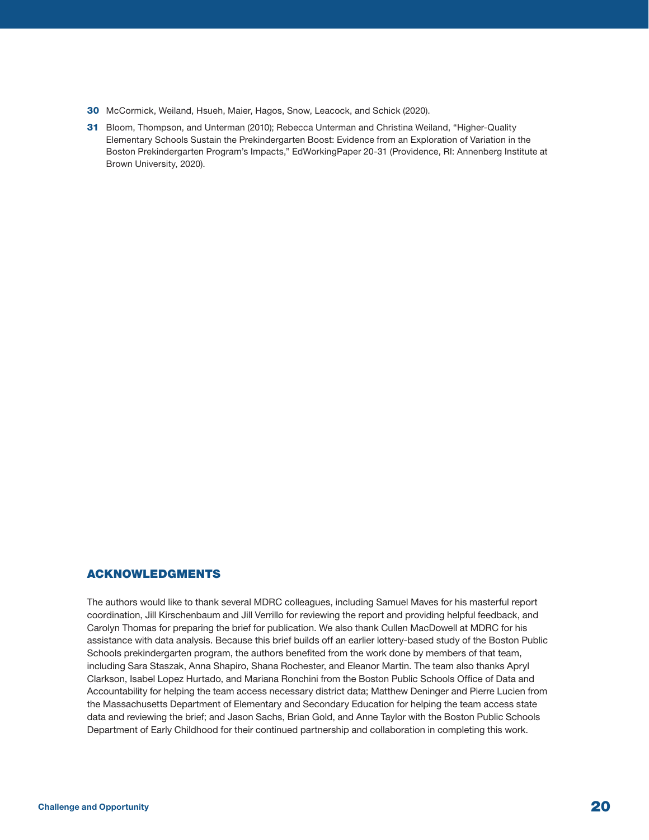- <span id="page-19-0"></span>[30](#page-15-0) McCormick, Weiland, Hsueh, Maier, Hagos, Snow, Leacock, and Schick (2020).
- [31](#page-16-0) Bloom, Thompson, and Unterman (2010); Rebecca Unterman and Christina Weiland, "Higher-Quality Elementary Schools Sustain the Prekindergarten Boost: Evidence from an Exploration of Variation in the Boston Prekindergarten Program's Impacts," EdWorkingPaper 20-31 (Providence, RI: Annenberg Institute at Brown University, 2020).

## ACKNOWLEDGMENTS

The authors would like to thank several MDRC colleagues, including Samuel Maves for his masterful report coordination, Jill Kirschenbaum and Jill Verrillo for reviewing the report and providing helpful feedback, and Carolyn Thomas for preparing the brief for publication. We also thank Cullen MacDowell at MDRC for his assistance with data analysis. Because this brief builds off an earlier lottery-based study of the Boston Public Schools prekindergarten program, the authors benefited from the work done by members of that team, including Sara Staszak, Anna Shapiro, Shana Rochester, and Eleanor Martin. The team also thanks Apryl Clarkson, Isabel Lopez Hurtado, and Mariana Ronchini from the Boston Public Schools Office of Data and Accountability for helping the team access necessary district data; Matthew Deninger and Pierre Lucien from the Massachusetts Department of Elementary and Secondary Education for helping the team access state data and reviewing the brief; and Jason Sachs, Brian Gold, and Anne Taylor with the Boston Public Schools Department of Early Childhood for their continued partnership and collaboration in completing this work.